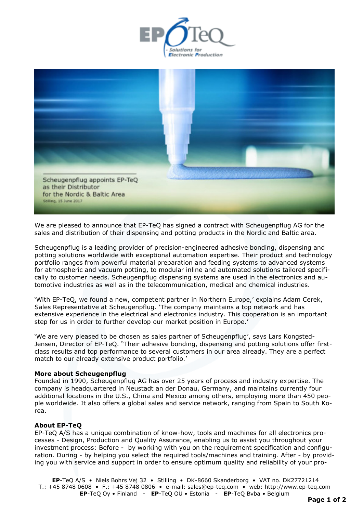



We are pleased to announce that EP-TeQ has signed a contract with Scheugenpflug AG for the sales and distribution of their dispensing and potting products in the Nordic and Baltic area.

Scheugenpflug is a leading provider of precision-engineered adhesive bonding, dispensing and potting solutions worldwide with exceptional automation expertise. Their product and technology portfolio ranges from powerful material preparation and feeding systems to advanced systems for atmospheric and vacuum potting, to modular inline and automated solutions tailored specifically to customer needs. Scheugenpflug dispensing systems are used in the electronics and [au](http://www.scheugenpflug.de/en/applications/industries/automotive-electromobility.html)[tomotive](http://www.scheugenpflug.de/en/applications/industries/automotive-electromobility.html) industries as well as in the telecommunication, [medical](http://www.scheugenpflug.de/en/applications/industries/medical-technology.html) and chemical industries.

'With EP-TeQ, we found a new, competent partner in Northern Europe,' explains Adam Cerek, Sales Representative at Scheugenpflug. 'The company maintains a top network and has extensive experience in the electrical and electronics industry. This cooperation is an important step for us in order to further develop our market position in Europe.'

'We are very pleased to be chosen as sales partner of Scheugenpflug', says Lars Kongsted-Jensen, Director of EP-TeQ. "Their adhesive bonding, dispensing and potting solutions offer firstclass results and top performance to several customers in our area already. They are a perfect match to our already extensive product portfolio.'

## **More about Scheugenpflug**

Founded in 1990, Scheugenpflug AG has over 25 years of process and industry expertise. The company is headquartered in Neustadt an der Donau, Germany, and maintains currently four additional locations in the U.S., China and Mexico among others, employing more than 450 people worldwide. It also offers a global sales and service network, ranging from Spain to South Korea.

## **About EP-TeQ**

EP-TeQ A/S has a unique combination of know-how, tools and machines for all electronics processes - Design, Production and Quality Assurance, enabling us to assist you throughout your investment process: Before - by working with you on the requirement specification and configuration. During - by helping you select the required tools/machines and training. After - by providing you with service and support in order to ensure optimum quality and reliability of your pro-

**EP**-TeQ A/S • Niels Bohrs Vej 32 • Stilling • DK-8660 Skanderborg • VAT no. DK27721214 T.: +45 8748 0608 • F.: +45 8748 0806 • e-mail: sales@ep-teq.com • web: [http://www.ep-teq.com](http://www.ep-teq.com/)  **EP**-TeQ Oy • Finland - **EP**-TeQ OÜ • Estonia - **EP**-TeQ Bvba • Belgium